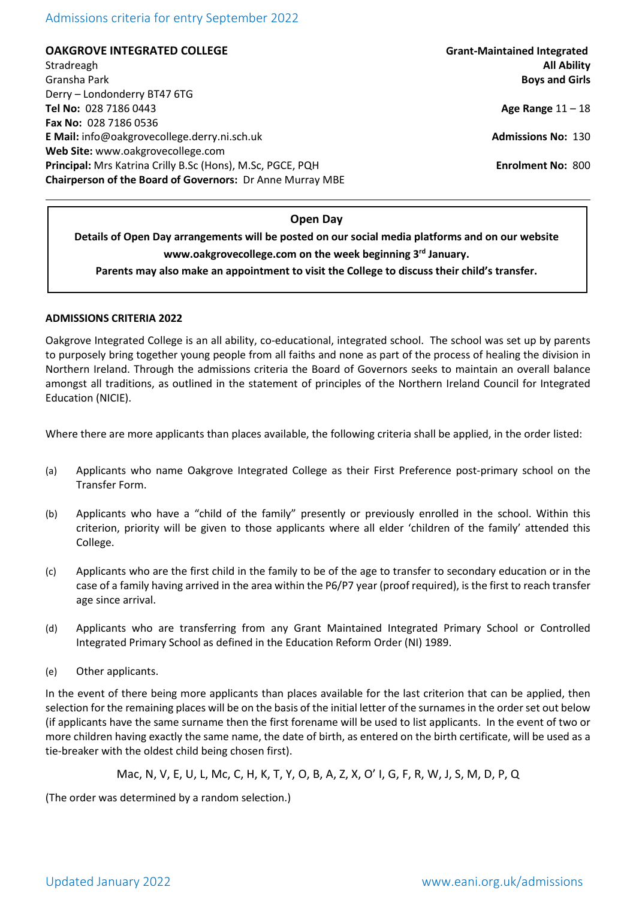## Admissions criteria for entry September 2022

**OAKGROVE INTEGRATED COLLEGE Grant-Maintained Integrated** Stradreagh **All Ability** Gransha Park **Boys and Girls** Derry – Londonderry BT47 6TG **Tel No:** 028 7186 0443 **Age Range** 11 – 18 **Fax No:** 028 7186 0536 **E Mail:** info@oakgrovecollege.derry.ni.sch.uk **Admissions No:** 130 **Web Site:** www.oakgrovecollege.com **Principal:** Mrs Katrina Crilly B.Sc (Hons), M.Sc, PGCE, PQH **Enrolment No: 800 Chairperson of the Board of Governors:** Dr Anne Murray MBE

#### **Open Day**

**Details of Open Day arrangements will be posted on our social media platforms and on our website www.oakgrovecollege.com on the week beginning 3rd January.**

**Parents may also make an appointment to visit the College to discuss their child's transfer.**

#### **ADMISSIONS CRITERIA 2022**

Oakgrove Integrated College is an all ability, co-educational, integrated school. The school was set up by parents to purposely bring together young people from all faiths and none as part of the process of healing the division in Northern Ireland. Through the admissions criteria the Board of Governors seeks to maintain an overall balance amongst all traditions, as outlined in the statement of principles of the Northern Ireland Council for Integrated Education (NICIE).

Where there are more applicants than places available, the following criteria shall be applied, in the order listed:

- (a) Applicants who name Oakgrove Integrated College as their First Preference post-primary school on the Transfer Form.
- (b) Applicants who have a "child of the family" presently or previously enrolled in the school. Within this criterion, priority will be given to those applicants where all elder 'children of the family' attended this College.
- (c) Applicants who are the first child in the family to be of the age to transfer to secondary education or in the case of a family having arrived in the area within the P6/P7 year (proof required), is the first to reach transfer age since arrival.
- (d) Applicants who are transferring from any Grant Maintained Integrated Primary School or Controlled Integrated Primary School as defined in the Education Reform Order (NI) 1989.
- (e) Other applicants.

In the event of there being more applicants than places available for the last criterion that can be applied, then selection for the remaining places will be on the basis of the initial letter of the surnames in the order set out below (if applicants have the same surname then the first forename will be used to list applicants. In the event of two or more children having exactly the same name, the date of birth, as entered on the birth certificate, will be used as a tie-breaker with the oldest child being chosen first).

Mac, N, V, E, U, L, Mc, C, H, K, T, Y, O, B, A, Z, X, O' I, G, F, R, W, J, S, M, D, P, Q

(The order was determined by a random selection.)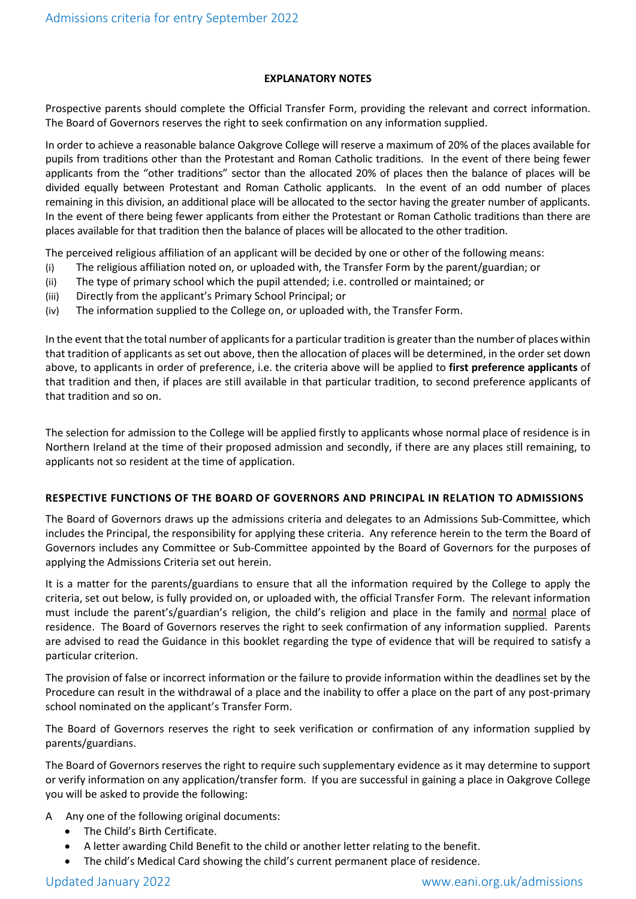## **EXPLANATORY NOTES**

Prospective parents should complete the Official Transfer Form, providing the relevant and correct information. The Board of Governors reserves the right to seek confirmation on any information supplied.

In order to achieve a reasonable balance Oakgrove College will reserve a maximum of 20% of the places available for pupils from traditions other than the Protestant and Roman Catholic traditions. In the event of there being fewer applicants from the "other traditions" sector than the allocated 20% of places then the balance of places will be divided equally between Protestant and Roman Catholic applicants. In the event of an odd number of places remaining in this division, an additional place will be allocated to the sector having the greater number of applicants. In the event of there being fewer applicants from either the Protestant or Roman Catholic traditions than there are places available for that tradition then the balance of places will be allocated to the other tradition.

The perceived religious affiliation of an applicant will be decided by one or other of the following means:

- (i) The religious affiliation noted on, or uploaded with, the Transfer Form by the parent/guardian; or
- (ii) The type of primary school which the pupil attended; i.e. controlled or maintained; or
- (iii) Directly from the applicant's Primary School Principal; or
- (iv) The information supplied to the College on, or uploaded with, the Transfer Form.

In the event that the total number of applicants for a particular tradition is greater than the number of places within that tradition of applicants as set out above, then the allocation of places will be determined, in the order set down above, to applicants in order of preference, i.e. the criteria above will be applied to **first preference applicants** of that tradition and then, if places are still available in that particular tradition, to second preference applicants of that tradition and so on.

The selection for admission to the College will be applied firstly to applicants whose normal place of residence is in Northern Ireland at the time of their proposed admission and secondly, if there are any places still remaining, to applicants not so resident at the time of application.

## **RESPECTIVE FUNCTIONS OF THE BOARD OF GOVERNORS AND PRINCIPAL IN RELATION TO ADMISSIONS**

The Board of Governors draws up the admissions criteria and delegates to an Admissions Sub-Committee, which includes the Principal, the responsibility for applying these criteria. Any reference herein to the term the Board of Governors includes any Committee or Sub-Committee appointed by the Board of Governors for the purposes of applying the Admissions Criteria set out herein.

It is a matter for the parents/guardians to ensure that all the information required by the College to apply the criteria, set out below, is fully provided on, or uploaded with, the official Transfer Form. The relevant information must include the parent's/guardian's religion, the child's religion and place in the family and normal place of residence. The Board of Governors reserves the right to seek confirmation of any information supplied. Parents are advised to read the Guidance in this booklet regarding the type of evidence that will be required to satisfy a particular criterion.

The provision of false or incorrect information or the failure to provide information within the deadlines set by the Procedure can result in the withdrawal of a place and the inability to offer a place on the part of any post-primary school nominated on the applicant's Transfer Form.

The Board of Governors reserves the right to seek verification or confirmation of any information supplied by parents/guardians.

The Board of Governors reserves the right to require such supplementary evidence as it may determine to support or verify information on any application/transfer form. If you are successful in gaining a place in Oakgrove College you will be asked to provide the following:

- A Any one of the following original documents:
	- The Child's Birth Certificate.
	- A letter awarding Child Benefit to the child or another letter relating to the benefit.
	- The child's Medical Card showing the child's current permanent place of residence.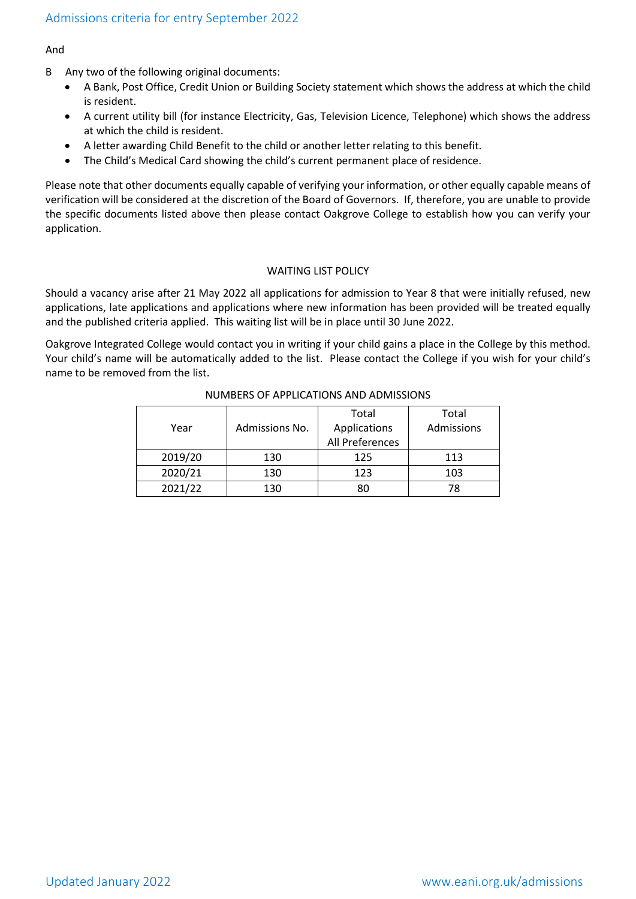## And

- B Any two of the following original documents:
	- A Bank, Post Office, Credit Union or Building Society statement which shows the address at which the child is resident.
	- A current utility bill (for instance Electricity, Gas, Television Licence, Telephone) which shows the address at which the child is resident.
	- A letter awarding Child Benefit to the child or another letter relating to this benefit.
	- The Child's Medical Card showing the child's current permanent place of residence.

Please note that other documents equally capable of verifying your information, or other equally capable means of verification will be considered at the discretion of the Board of Governors. If, therefore, you are unable to provide the specific documents listed above then please contact Oakgrove College to establish how you can verify your application.

#### WAITING LIST POLICY

Should a vacancy arise after 21 May 2022 all applications for admission to Year 8 that were initially refused, new applications, late applications and applications where new information has been provided will be treated equally and the published criteria applied. This waiting list will be in place until 30 June 2022.

Oakgrove Integrated College would contact you in writing if your child gains a place in the College by this method. Your child's name will be automatically added to the list. Please contact the College if you wish for your child's name to be removed from the list.

|         |                | Total           | Total      |
|---------|----------------|-----------------|------------|
| Year    | Admissions No. | Applications    | Admissions |
|         |                | All Preferences |            |
| 2019/20 | 130            | 125             | 113        |
| 2020/21 | 130            | 123             | 103        |
| 2021/22 | 130            | 80              | 78         |

## NUMBERS OF APPLICATIONS AND ADMISSIONS